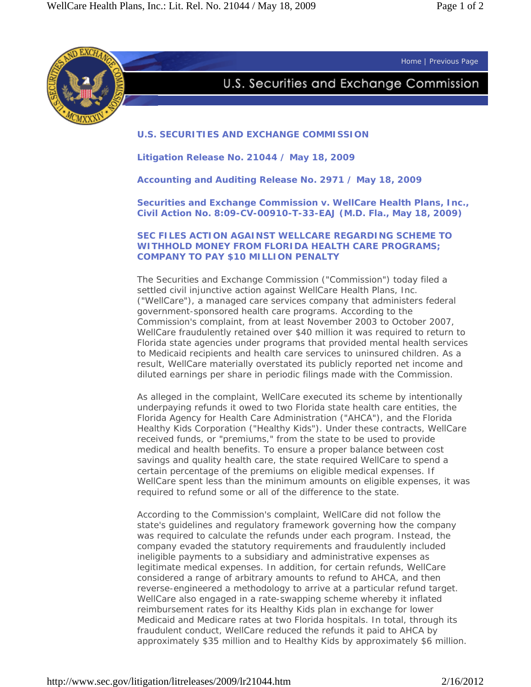Home | Previous Page



## U.S. Securities and Exchange Commission

## **U.S. SECURITIES AND EXCHANGE COMMISSION**

**Litigation Release No. 21044 / May 18, 2009** 

**Accounting and Auditing Release No. 2971 / May 18, 2009** 

*Securities and Exchange Commission v. WellCare Health Plans, Inc.***, Civil Action No. 8:09-CV-00910-T-33-EAJ (M.D. Fla., May 18, 2009)** 

**SEC FILES ACTION AGAINST WELLCARE REGARDING SCHEME TO WITHHOLD MONEY FROM FLORIDA HEALTH CARE PROGRAMS; COMPANY TO PAY \$10 MILLION PENALTY** 

The Securities and Exchange Commission ("Commission") today filed a settled civil injunctive action against WellCare Health Plans, Inc. ("WellCare"), a managed care services company that administers federal government-sponsored health care programs. According to the Commission's complaint, from at least November 2003 to October 2007, WellCare fraudulently retained over \$40 million it was required to return to Florida state agencies under programs that provided mental health services to Medicaid recipients and health care services to uninsured children. As a result, WellCare materially overstated its publicly reported net income and diluted earnings per share in periodic filings made with the Commission.

As alleged in the complaint, WellCare executed its scheme by intentionally underpaying refunds it owed to two Florida state health care entities, the Florida Agency for Health Care Administration ("AHCA"), and the Florida Healthy Kids Corporation ("Healthy Kids"). Under these contracts, WellCare received funds, or "premiums," from the state to be used to provide medical and health benefits. To ensure a proper balance between cost savings and quality health care, the state required WellCare to spend a certain percentage of the premiums on eligible medical expenses. If WellCare spent less than the minimum amounts on eligible expenses, it was required to refund some or all of the difference to the state.

According to the Commission's complaint, WellCare did not follow the state's guidelines and regulatory framework governing how the company was required to calculate the refunds under each program. Instead, the company evaded the statutory requirements and fraudulently included ineligible payments to a subsidiary and administrative expenses as legitimate medical expenses. In addition, for certain refunds, WellCare considered a range of arbitrary amounts to refund to AHCA, and then reverse-engineered a methodology to arrive at a particular refund target. WellCare also engaged in a rate-swapping scheme whereby it inflated reimbursement rates for its Healthy Kids plan in exchange for lower Medicaid and Medicare rates at two Florida hospitals. In total, through its fraudulent conduct, WellCare reduced the refunds it paid to AHCA by approximately \$35 million and to Healthy Kids by approximately \$6 million.